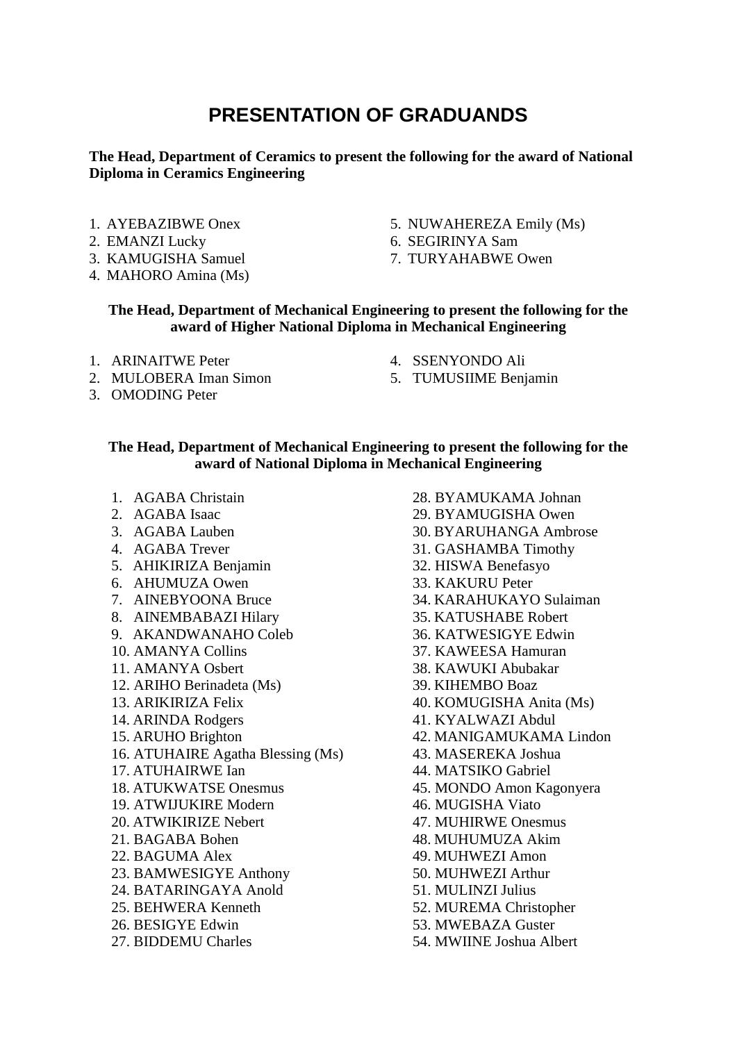# **PRESENTATION OF GRADUANDS**

## **The Head, Department of Ceramics to present the following for the award of National Diploma in Ceramics Engineering**

- 1. AYEBAZIBWE Onex
- 2. EMANZI Lucky
- 3. KAMUGISHA Samuel
- 4. MAHORO Amina (Ms)
- 5. NUWAHEREZA Emily (Ms)
- 6. SEGIRINYA Sam
- 7. TURYAHABWE Owen

### **The Head, Department of Mechanical Engineering to present the following for the award of Higher National Diploma in Mechanical Engineering**

- 1. ARINAITWE Peter
- 2. MULOBERA Iman Simon
- 3. OMODING Peter
- 4. SSENYONDO Ali
- 5. TUMUSIIME Benjamin

#### **The Head, Department of Mechanical Engineering to present the following for the award of National Diploma in Mechanical Engineering**

- 1. AGABA Christain
- 2. AGABA Isaac
- 3. AGABA Lauben
- 4. AGABA Trever
- 5. AHIKIRIZA Benjamin
- 6. AHUMUZA Owen
- 7. AINEBYOONA Bruce
- 8. AINEMBABAZI Hilary
- 9. AKANDWANAHO Coleb
- 10. AMANYA Collins
- 11. AMANYA Osbert
- 12. ARIHO Berinadeta (Ms)
- 13. ARIKIRIZA Felix
- 14. ARINDA Rodgers
- 15. ARUHO Brighton
- 16. ATUHAIRE Agatha Blessing (Ms)
- 17. ATUHAIRWE Ian
- 18. ATUKWATSE Onesmus
- 19. ATWIJUKIRE Modern
- 20. ATWIKIRIZE Nebert
- 21. BAGABA Bohen
- 22. BAGUMA Alex
- 23. BAMWESIGYE Anthony
- 24. BATARINGAYA Anold
- 25. BEHWERA Kenneth
- 26. BESIGYE Edwin
- 27. BIDDEMU Charles

28. BYAMUKAMA Johnan 29. BYAMUGISHA Owen 30. BYARUHANGA Ambrose 31. GASHAMBA Timothy 32. HISWA Benefasyo 33. KAKURU Peter 34. KARAHUKAYO Sulaiman 35. KATUSHABE Robert 36. KATWESIGYE Edwin 37. KAWEESA Hamuran 38. KAWUKI Abubakar 39. KIHEMBO Boaz 40. KOMUGISHA Anita (Ms) 41. KYALWAZI Abdul 42. MANIGAMUKAMA Lindon 43. MASEREKA Joshua 44. MATSIKO Gabriel 45. MONDO Amon Kagonyera 46. MUGISHA Viato 47. MUHIRWE Onesmus 48. MUHUMUZA Akim 49. MUHWEZI Amon 50. MUHWEZI Arthur 51. MULINZI Julius 52. MUREMA Christopher 53. MWEBAZA Guster 54. MWIINE Joshua Albert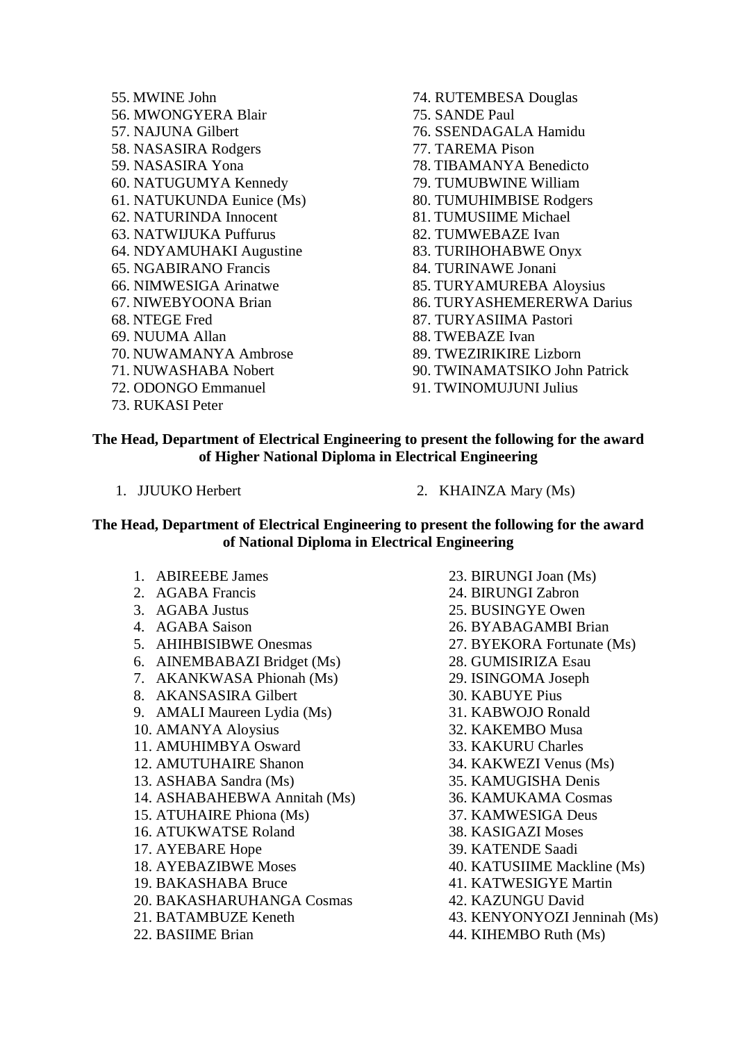- 55. MWINE John 56. MWONGYERA Blair 57. NAJUNA Gilbert 58. NASASIRA Rodgers 59. NASASIRA Yona 60. NATUGUMYA Kennedy 61. NATUKUNDA Eunice (Ms) 62. NATURINDA Innocent 63. NATWIJUKA Puffurus 64. NDYAMUHAKI Augustine 65. NGABIRANO Francis 66. NIMWESIGA Arinatwe 67. NIWEBYOONA Brian 68. NTEGE Fred 69. NUUMA Allan 70. NUWAMANYA Ambrose 71. NUWASHABA Nobert 72. ODONGO Emmanuel 73. RUKASI Peter
- 74. RUTEMBESA Douglas 75. SANDE Paul 76. SSENDAGALA Hamidu 77. TAREMA Pison 78. TIBAMANYA Benedicto 79. TUMUBWINE William 80. TUMUHIMBISE Rodgers 81. TUMUSIIME Michael 82. TUMWEBAZE Ivan 83. TURIHOHABWE Onyx 84. TURINAWE Jonani 85. TURYAMUREBA Aloysius 86. TURYASHEMERERWA Darius 87. TURYASIIMA Pastori 88. TWEBAZE Ivan 89. TWEZIRIKIRE Lizborn 90. TWINAMATSIKO John Patrick 91. TWINOMUJUNI Julius

#### **The Head, Department of Electrical Engineering to present the following for the award of Higher National Diploma in Electrical Engineering**

- 
- 1. JJUUKO Herbert 2. KHAINZA Mary (Ms)

#### **The Head, Department of Electrical Engineering to present the following for the award of National Diploma in Electrical Engineering**

- 1. ABIREEBE James
- 2. AGABA Francis
- 3. AGABA Justus
- 4. AGABA Saison
- 5. AHIHBISIBWE Onesmas
- 6. AINEMBABAZI Bridget (Ms)
- 7. AKANKWASA Phionah (Ms)
- 8. AKANSASIRA Gilbert
- 9. AMALI Maureen Lydia (Ms)
- 10. AMANYA Aloysius
- 11. AMUHIMBYA Osward
- 12. AMUTUHAIRE Shanon
- 13. ASHABA Sandra (Ms)
- 14. ASHABAHEBWA Annitah (Ms)
- 15. ATUHAIRE Phiona (Ms)
- 16. ATUKWATSE Roland
- 17. AYEBARE Hope
- 18. AYEBAZIBWE Moses
- 19. BAKASHABA Bruce
- 20. BAKASHARUHANGA Cosmas
- 21. BATAMBUZE Keneth
- 22. BASIIME Brian
- 23. BIRUNGI Joan (Ms)
- 24. BIRUNGI Zabron
- 25. BUSINGYE Owen
- 26. BYABAGAMBI Brian
- 27. BYEKORA Fortunate (Ms)
- 28. GUMISIRIZA Esau
- 29. ISINGOMA Joseph
- 30. KABUYE Pius
- 31. KABWOJO Ronald
- 32. KAKEMBO Musa
- 33. KAKURU Charles
- 34. KAKWEZI Venus (Ms)
- 35. KAMUGISHA Denis
- 36. KAMUKAMA Cosmas
- 37. KAMWESIGA Deus
- 38. KASIGAZI Moses
- 39. KATENDE Saadi
- 40. KATUSIIME Mackline (Ms)
- 41. KATWESIGYE Martin
- 42. KAZUNGU David
- 43. KENYONYOZI Jenninah (Ms)
- 44. KIHEMBO Ruth (Ms)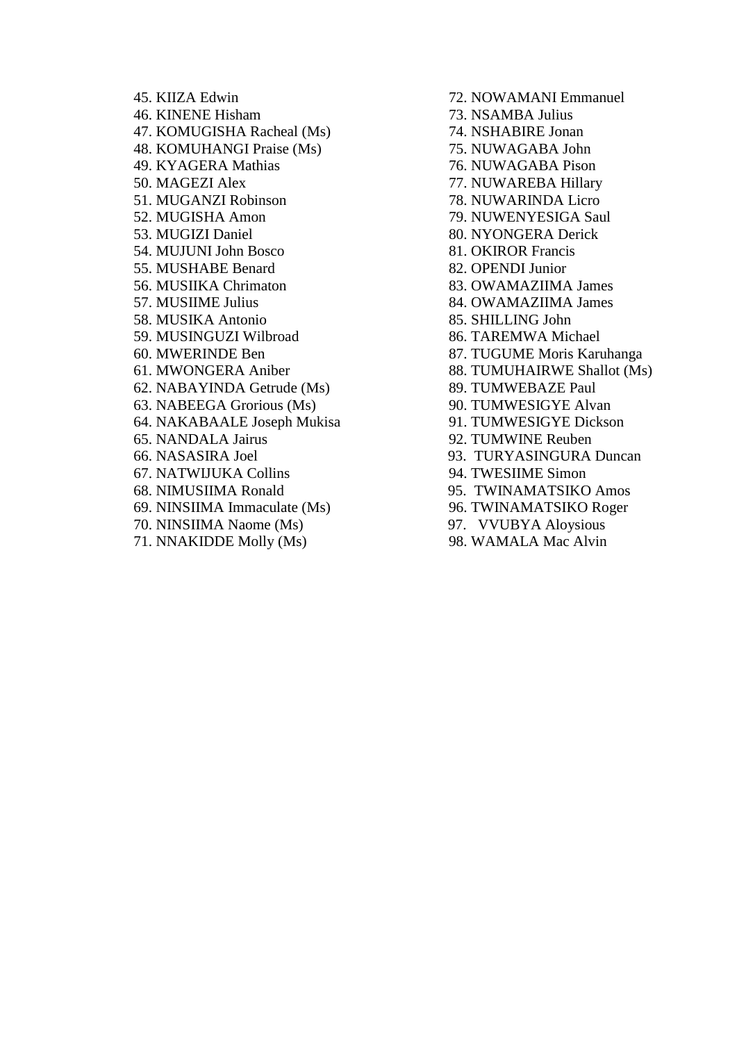45. KIIZA Edwin 46. KINENE Hisham 47. KOMUGISHA Racheal (Ms) 48. KOMUHANGI Praise (Ms) 49. KYAGERA Mathias 50. MAGEZI Alex 51. MUGANZI Robinson 52. MUGISHA Amon 53. MUGIZI Daniel 54. MUJUNI John Bosco 55. MUSHABE Benard 56. MUSIIKA Chrimaton 57. MUSIIME Julius 58. MUSIKA Antonio 59. MUSINGUZI Wilbroad 60. MWERINDE Ben 61. MWONGERA Aniber 62. NABAYINDA Getrude (Ms) 63. NABEEGA Grorious (Ms) 64. NAKABAALE Joseph Mukisa 65. NANDALA Jairus 66. NASASIRA Joel 67. NATWIJUKA Collins 68. NIMUSIIMA Ronald 69. NINSIIMA Immaculate (Ms) 70. NINSIIMA Naome (Ms) 71. NNAKIDDE Molly (Ms)

72. NOWAMANI Emmanuel 73. NSAMBA Julius 74. NSHABIRE Jonan 75. NUWAGABA John 76. NUWAGABA Pison 77. NUWAREBA Hillary 78. NUWARINDA Licro 79. NUWENYESIGA Saul 80. NYONGERA Derick 81. OKIROR Francis 82. OPENDI Junior 83. OWAMAZIIMA James 84. OWAMAZIIMA James 85. SHILLING John 86. TAREMWA Michael 87. TUGUME Moris Karuhanga 88. TUMUHAIRWE Shallot (Ms) 89. TUMWEBAZE Paul 90. TUMWESIGYE Alvan 91. TUMWESIGYE Dickson 92. TUMWINE Reuben 93. TURYASINGURA Duncan 94. TWESIIME Simon 95. TWINAMATSIKO Amos 96. TWINAMATSIKO Roger 97. VVUBYA Aloysious

98. WAMALA Mac Alvin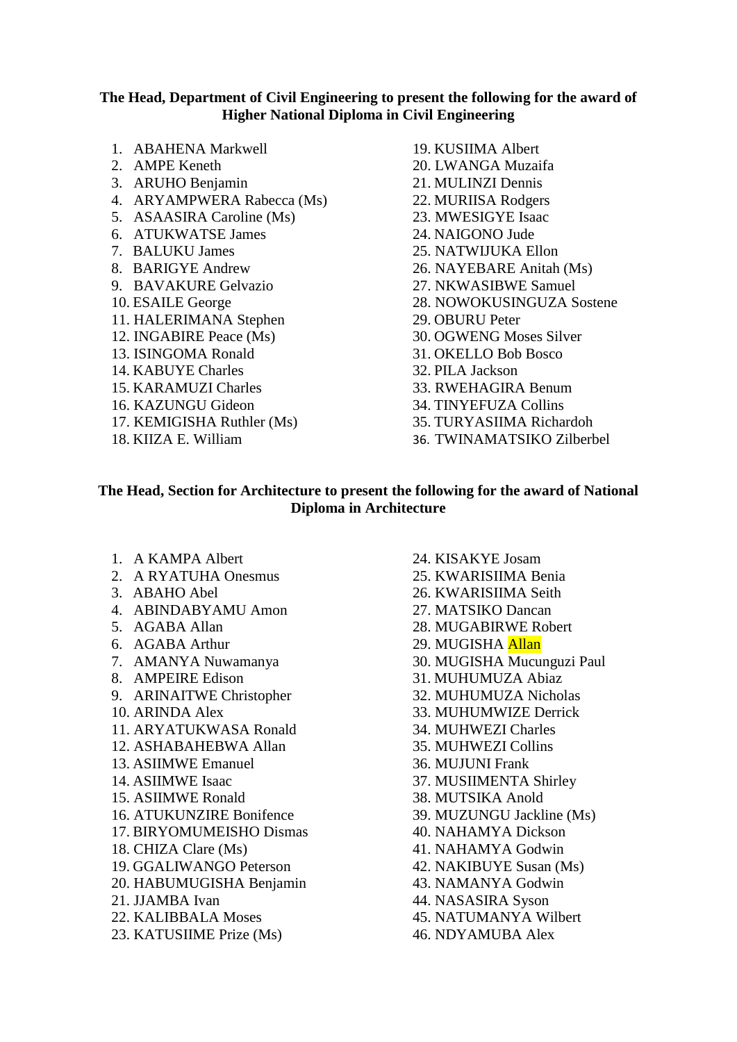#### **The Head, Department of Civil Engineering to present the following for the award of Higher National Diploma in Civil Engineering**

- 1. ABAHENA Markwell
- 2. AMPE Keneth
- 3. ARUHO Benjamin
- 4. ARYAMPWERA Rabecca (Ms)
- 5. ASAASIRA Caroline (Ms)
- 6. ATUKWATSE James
- 7. BALUKU James
- 8. BARIGYE Andrew
- 9. BAVAKURE Gelvazio
- 10. ESAILE George
- 11. HALERIMANA Stephen
- 12. INGABIRE Peace (Ms)
- 13. ISINGOMA Ronald
- 14. KABUYE Charles
- 15. KARAMUZI Charles
- 16. KAZUNGU Gideon
- 17. KEMIGISHA Ruthler (Ms)
- 18. KIIZA E. William
- 19. KUSIIMA Albert 20. LWANGA Muzaifa 21. MULINZI Dennis 22. MURIISA Rodgers 23. MWESIGYE Isaac 24. NAIGONO Jude 25. NATWIJUKA Ellon 26. NAYEBARE Anitah (Ms) 27. NKWASIBWE Samuel 28. NOWOKUSINGUZA Sostene 29. OBURU Peter 30. OGWENG Moses Silver 31. OKELLO Bob Bosco 32. PILA Jackson 33. RWEHAGIRA Benum 34. TINYEFUZA Collins 35. TURYASIIMA Richardoh
- 36. TWINAMATSIKO Zilberbel

## **The Head, Section for Architecture to present the following for the award of National Diploma in Architecture**

- 1. A KAMPA Albert
- 2. A RYATUHA Onesmus
- 3. ABAHO Abel
- 4. ABINDABYAMU Amon
- 5. AGABA Allan
- 6. AGABA Arthur
- 7. AMANYA Nuwamanya
- 8. AMPEIRE Edison
- 9. ARINAITWE Christopher
- 10. ARINDA Alex
- 11. ARYATUKWASA Ronald
- 12. ASHABAHEBWA Allan
- 13. ASIIMWE Emanuel
- 14. ASIIMWE Isaac
- 15. ASIIMWE Ronald
- 16. ATUKUNZIRE Bonifence
- 17. BIRYOMUMEISHO Dismas
- 18. CHIZA Clare (Ms)
- 19. GGALIWANGO Peterson
- 20. HABUMUGISHA Benjamin
- 21. JJAMBA Ivan
- 22. KALIBBALA Moses
- 23. KATUSIIME Prize (Ms)

24. KISAKYE Josam 25. KWARISIIMA Benia 26. KWARISIIMA Seith 27. MATSIKO Dancan 28. MUGABIRWE Robert 29. MUGISHA Allan 30. MUGISHA Mucunguzi Paul 31. MUHUMUZA Abiaz 32. MUHUMUZA Nicholas 33. MUHUMWIZE Derrick 34. MUHWEZI Charles 35. MUHWEZI Collins 36. MUJUNI Frank 37. MUSIIMENTA Shirley 38. MUTSIKA Anold 39. MUZUNGU Jackline (Ms) 40. NAHAMYA Dickson 41. NAHAMYA Godwin 42. NAKIBUYE Susan (Ms) 43. NAMANYA Godwin 44. NASASIRA Syson 45. NATUMANYA Wilbert 46. NDYAMUBA Alex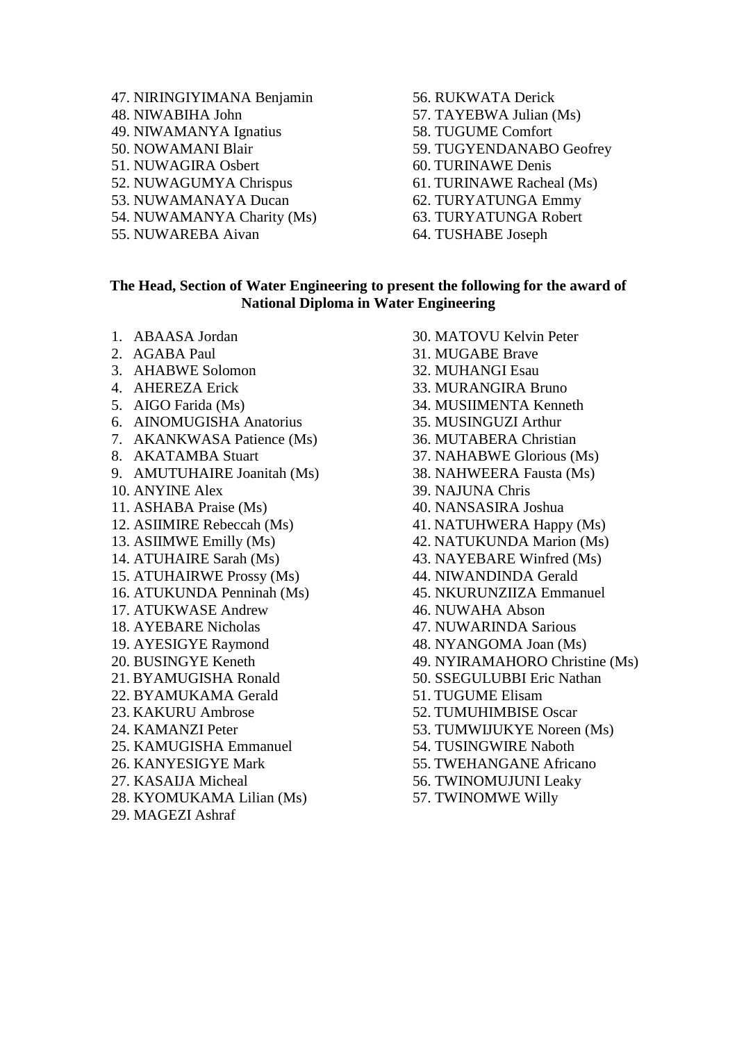- 47. NIRINGIYIMANA Benjamin 48. NIWABIHA John 49. NIWAMANYA Ignatius 50. NOWAMANI Blair 51. NUWAGIRA Osbert 52. NUWAGUMYA Chrispus 53. NUWAMANAYA Ducan 54. NUWAMANYA Charity (Ms) 55. NUWAREBA Aivan
- 56. RUKWATA Derick 57. TAYEBWA Julian (Ms) 58. TUGUME Comfort 59. TUGYENDANABO Geofrey 60. TURINAWE Denis 61. TURINAWE Racheal (Ms) 62. TURYATUNGA Emmy 63. TURYATUNGA Robert 64. TUSHABE Joseph

#### **The Head, Section of Water Engineering to present the following for the award of National Diploma in Water Engineering**

- 1. ABAASA Jordan
- 2. AGABA Paul
- 3. AHABWE Solomon
- 4. AHEREZA Erick
- 5. AIGO Farida (Ms)
- 6. AINOMUGISHA Anatorius
- 7. AKANKWASA Patience (Ms)
- 8. AKATAMBA Stuart
- 9. AMUTUHAIRE Joanitah (Ms)
- 10. ANYINE Alex
- 11. ASHABA Praise (Ms)
- 12. ASIIMIRE Rebeccah (Ms)
- 13. ASIIMWE Emilly (Ms)
- 14. ATUHAIRE Sarah (Ms)
- 15. ATUHAIRWE Prossy (Ms)
- 16. ATUKUNDA Penninah (Ms)
- 17. ATUKWASE Andrew
- 18. AYEBARE Nicholas
- 19. AYESIGYE Raymond
- 20. BUSINGYE Keneth
- 21. BYAMUGISHA Ronald
- 22. BYAMUKAMA Gerald
- 23. KAKURU Ambrose
- 24. KAMANZI Peter
- 25. KAMUGISHA Emmanuel
- 26. KANYESIGYE Mark
- 27. KASAIJA Micheal
- 28. KYOMUKAMA Lilian (Ms)
- 29. MAGEZI Ashraf

30. MATOVU Kelvin Peter 31. MUGABE Brave 32. MUHANGI Esau 33. MURANGIRA Bruno 34. MUSIIMENTA Kenneth 35. MUSINGUZI Arthur 36. MUTABERA Christian 37. NAHABWE Glorious (Ms) 38. NAHWEERA Fausta (Ms) 39. NAJUNA Chris 40. NANSASIRA Joshua 41. NATUHWERA Happy (Ms) 42. NATUKUNDA Marion (Ms) 43. NAYEBARE Winfred (Ms) 44. NIWANDINDA Gerald 45. NKURUNZIIZA Emmanuel 46. NUWAHA Abson 47. NUWARINDA Sarious 48. NYANGOMA Joan (Ms) 49. NYIRAMAHORO Christine (Ms) 50. SSEGULUBBI Eric Nathan 51. TUGUME Elisam 52. TUMUHIMBISE Oscar 53. TUMWIJUKYE Noreen (Ms) 54. TUSINGWIRE Naboth 55. TWEHANGANE Africano 56. TWINOMUJUNI Leaky 57. TWINOMWE Willy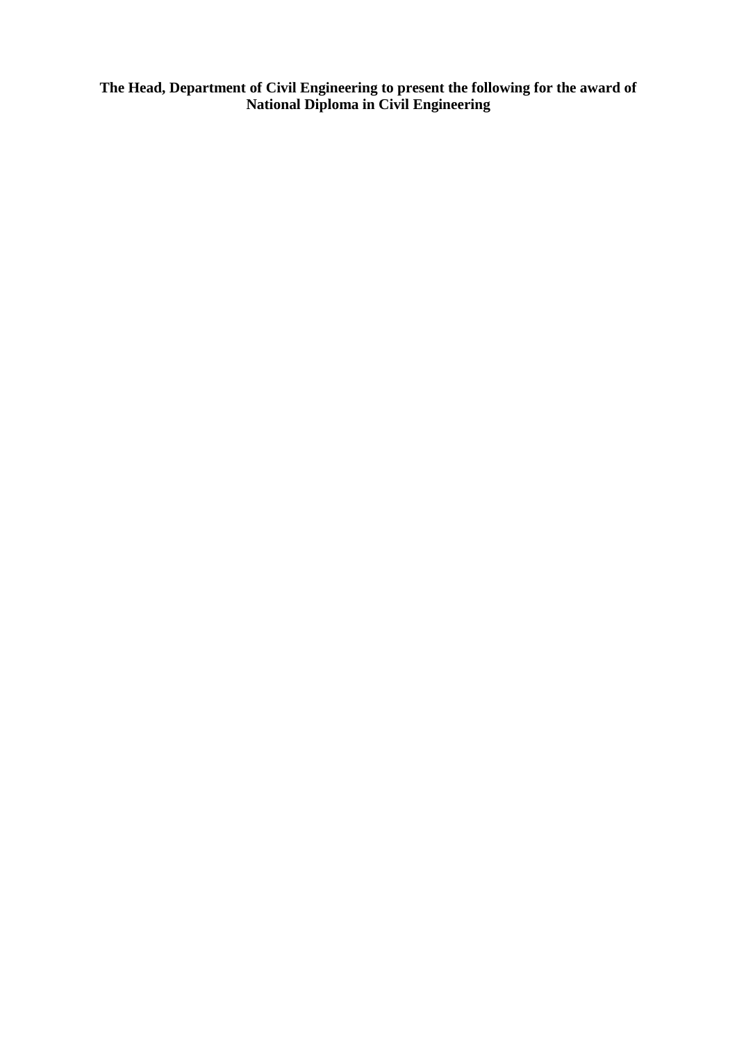**The Head, Department of Civil Engineering to present the following for the award of National Diploma in Civil Engineering**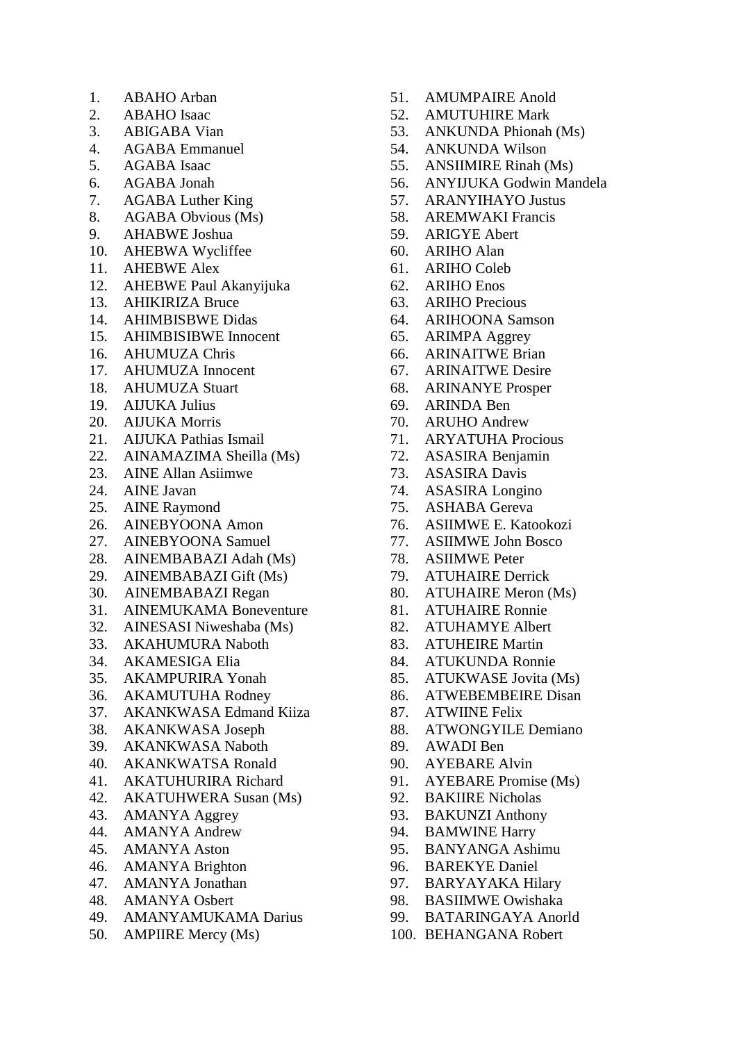- 1. ABAHO Arban
- 2. ABAHO Isaac
- 3. ABIGABA Vian
- 4. AGABA Emmanuel
- 5. AGABA Isaac
- 6. AGABA Jonah
- 7. AGABA Luther King
- 8. AGABA Obvious (Ms)
- 9. AHABWE Joshua
- 10. AHEBWA Wycliffee
- 11. AHEBWE Alex
- 12. AHEBWE Paul Akanyijuka
- 13. AHIKIRIZA Bruce
- 14. AHIMBISBWE Didas
- 15. AHIMBISIBWE Innocent
- 16. AHUMUZA Chris
- 17. AHUMUZA Innocent
- 18. AHUMUZA Stuart
- 19. AIJUKA Julius
- 20. AIJUKA Morris
- 21. AIJUKA Pathias Ismail
- 22. AINAMAZIMA Sheilla (Ms)
- 23. AINE Allan Asiimwe
- 24. AINE Javan
- 25. AINE Raymond
- 26. AINEBYOONA Amon
- 27. AINEBYOONA Samuel
- 28. AINEMBABAZI Adah (Ms)
- 29. AINEMBABAZI Gift (Ms)
- 30. AINEMBABAZI Regan
- 31. AINEMUKAMA Boneventure
- 32. AINESASI Niweshaba (Ms)
- 33. AKAHUMURA Naboth
- 34. AKAMESIGA Elia
- 35. AKAMPURIRA Yonah
- 36. AKAMUTUHA Rodney
- 37. AKANKWASA Edmand Kiiza
- 38. AKANKWASA Joseph
- 39. AKANKWASA Naboth
- 40. AKANKWATSA Ronald
- 41. AKATUHURIRA Richard
- 42. AKATUHWERA Susan (Ms)
- 43. AMANYA Aggrey
- 44. AMANYA Andrew
- 45. AMANYA Aston
- 46. AMANYA Brighton
- 47. AMANYA Jonathan
- 48. AMANYA Osbert
- 49. AMANYAMUKAMA Darius
- 50. AMPIIRE Mercy (Ms)
- 51. AMUMPAIRE Anold
- 52. AMUTUHIRE Mark
- 53. ANKUNDA Phionah (Ms)
- 54. ANKUNDA Wilson
- 55. ANSIIMIRE Rinah (Ms)
- 56. ANYIJUKA Godwin Mandela
- 57. ARANYIHAYO Justus
- 58. AREMWAKI Francis
- 59. ARIGYE Abert
- 60. ARIHO Alan
- 61. ARIHO Coleb
- 62. ARIHO Enos
- 63. ARIHO Precious
- 64. ARIHOONA Samson
- 65. ARIMPA Aggrey
- 66. ARINAITWE Brian
- 67. ARINAITWE Desire
- 68. ARINANYE Prosper
- 69. ARINDA Ben
- 70. ARUHO Andrew
- 71. ARYATUHA Procious
- 72. ASASIRA Benjamin
- 73. ASASIRA Davis
- 74. ASASIRA Longino
- 75. ASHABA Gereva
- 76. ASIIMWE E. Katookozi
- 77. ASIIMWE John Bosco
- 78. ASIIMWE Peter
- 79. ATUHAIRE Derrick
- 80. ATUHAIRE Meron (Ms)
- 81. ATUHAIRE Ronnie
- 82. ATUHAMYE Albert
- 83. ATUHEIRE Martin
- 84. ATUKUNDA Ronnie
- 85. ATUKWASE Jovita (Ms)
- 86. ATWEBEMBEIRE Disan
- 87. ATWIINE Felix
- 88. ATWONGYILE Demiano
- 89. AWADI Ben
- 90. AYEBARE Alvin
- 91. AYEBARE Promise (Ms)
- 92. BAKIIRE Nicholas
- 93. BAKUNZI Anthony
- 94. BAMWINE Harry
- 95. BANYANGA Ashimu
- 96. BAREKYE Daniel
- 97. BARYAYAKA Hilary
- 98. BASIIMWE Owishaka
- 99. BATARINGAYA Anorld
- 100. BEHANGANA Robert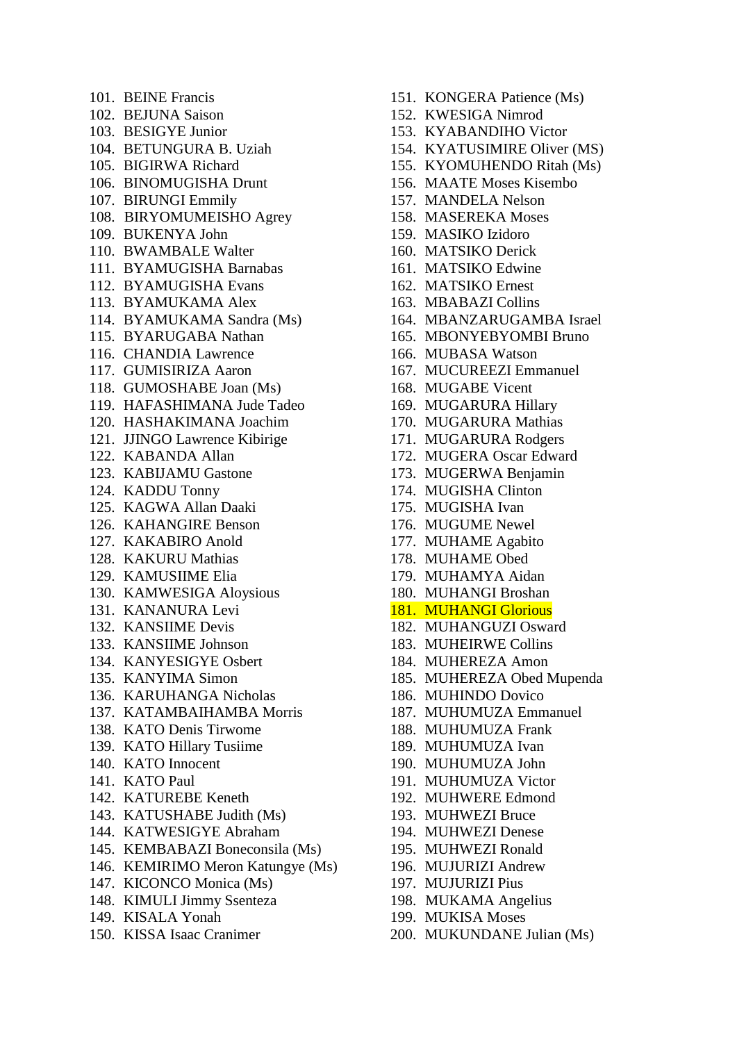101. BEINE Francis 102. BEJUNA Saison 103. BESIGYE Junior 104. BETUNGURA B. Uziah 105. BIGIRWA Richard 106. BINOMUGISHA Drunt 107. BIRUNGI Emmily 108. BIRYOMUMEISHO Agrey 109. BUKENYA John 110. BWAMBALE Walter 111. BYAMUGISHA Barnabas 112. BYAMUGISHA Evans 113. BYAMUKAMA Alex 114. BYAMUKAMA Sandra (Ms) 115. BYARUGABA Nathan 116. CHANDIA Lawrence 117. GUMISIRIZA Aaron 118. GUMOSHABE Joan (Ms) 119. HAFASHIMANA Jude Tadeo 120. HASHAKIMANA Joachim 121. JJINGO Lawrence Kibirige 122. KABANDA Allan 123. KABIJAMU Gastone 124. KADDU Tonny 125. KAGWA Allan Daaki 126. KAHANGIRE Benson 127. KAKABIRO Anold 128. KAKURU Mathias 129. KAMUSIIME Elia 130. KAMWESIGA Aloysious 131. KANANURA Levi 132. KANSIIME Devis 133. KANSIIME Johnson 134. KANYESIGYE Osbert 135. KANYIMA Simon 136. KARUHANGA Nicholas 137. KATAMBAIHAMBA Morris 138. KATO Denis Tirwome 139. KATO Hillary Tusiime 140. KATO Innocent 141. KATO Paul 142. KATUREBE Keneth 143. KATUSHABE Judith (Ms) 144. KATWESIGYE Abraham 145. KEMBABAZI Boneconsila (Ms) 146. KEMIRIMO Meron Katungye (Ms) 147. KICONCO Monica (Ms) 148. KIMULI Jimmy Ssenteza

- 149. KISALA Yonah
- 150. KISSA Isaac Cranimer
- 151. KONGERA Patience (Ms)
- 152. KWESIGA Nimrod
- 153. KYABANDIHO Victor
- 154. KYATUSIMIRE Oliver (MS)
- 155. KYOMUHENDO Ritah (Ms)
- 156. MAATE Moses Kisembo
- 157. MANDELA Nelson
- 158. MASEREKA Moses
- 159. MASIKO Izidoro
- 160. MATSIKO Derick
- 161. MATSIKO Edwine
- 162. MATSIKO Ernest
- 163. MBABAZI Collins
- 164. MBANZARUGAMBA Israel
- 165. MBONYEBYOMBI Bruno
- 166. MUBASA Watson
- 167. MUCUREEZI Emmanuel
- 168. MUGABE Vicent
- 169. MUGARURA Hillary
- 170. MUGARURA Mathias
- 171. MUGARURA Rodgers
- 172. MUGERA Oscar Edward
- 173. MUGERWA Benjamin
- 174. MUGISHA Clinton
- 175. MUGISHA Ivan
- 176. MUGUME Newel
- 177. MUHAME Agabito
- 178. MUHAME Obed
- 179. MUHAMYA Aidan
- 180. MUHANGI Broshan

## 181. MUHANGI Glorious

- 182. MUHANGUZI Osward
- 183. MUHEIRWE Collins
- 184. MUHEREZA Amon
- 185. MUHEREZA Obed Mupenda
- 186. MUHINDO Dovico
- 187. MUHUMUZA Emmanuel
- 188. MUHUMUZA Frank
- 189. MUHUMUZA Ivan
- 190. MUHUMUZA John
- 191. MUHUMUZA Victor
- 192. MUHWERE Edmond
- 193. MUHWEZI Bruce
- 194. MUHWEZI Denese
- 195. MUHWEZI Ronald
- 196. MUJURIZI Andrew
- 197. MUJURIZI Pius
- 198. MUKAMA Angelius
- 199. MUKISA Moses
- 200. MUKUNDANE Julian (Ms)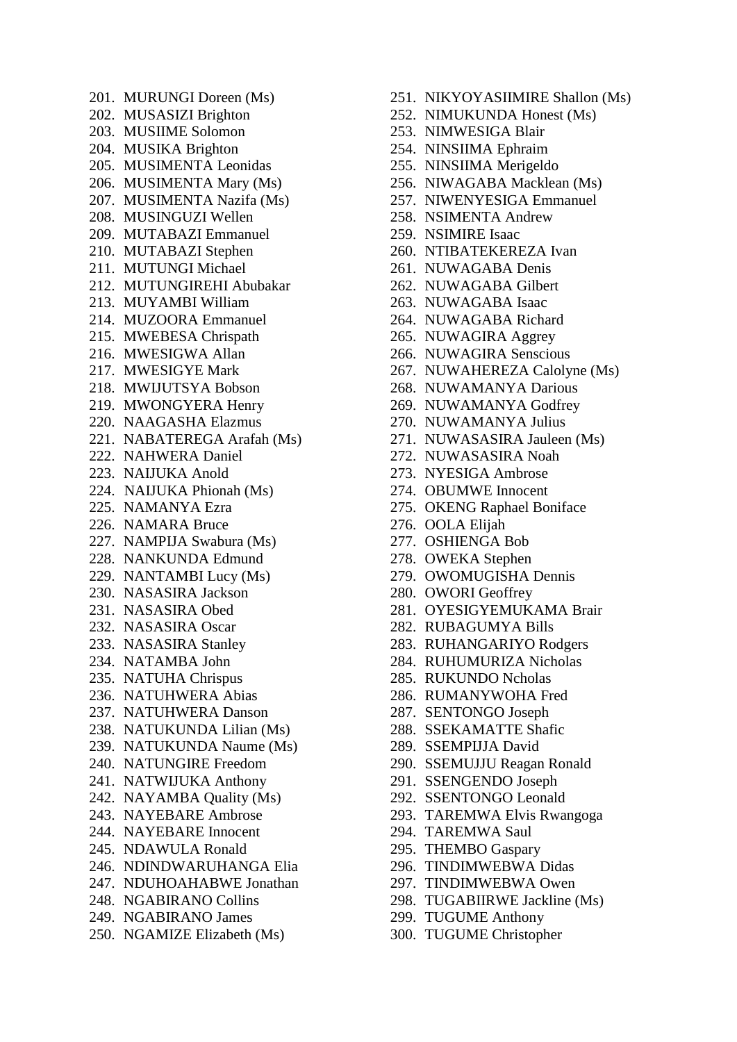201. MURUNGI Doreen (Ms) 202. MUSASIZI Brighton 203. MUSIIME Solomon 204. MUSIKA Brighton 205. MUSIMENTA Leonidas 206. MUSIMENTA Mary (Ms) 207. MUSIMENTA Nazifa (Ms) 208. MUSINGUZI Wellen 209. MUTABAZI Emmanuel 210. MUTABAZI Stephen 211. MUTUNGI Michael 212. MUTUNGIREHI Abubakar 213. MUYAMBI William 214. MUZOORA Emmanuel 215. MWEBESA Chrispath 216. MWESIGWA Allan 217. MWESIGYE Mark 218. MWIJUTSYA Bobson 219. MWONGYERA Henry 220. NAAGASHA Elazmus 221. NABATEREGA Arafah (Ms) 222. NAHWERA Daniel 223. NAIJUKA Anold 224. NAIJUKA Phionah (Ms) 225. NAMANYA Ezra 226. NAMARA Bruce 227. NAMPIJA Swabura (Ms) 228. NANKUNDA Edmund 229. NANTAMBI Lucy (Ms) 230. NASASIRA Jackson 231. NASASIRA Obed 232. NASASIRA Oscar 233. NASASIRA Stanley 234. NATAMBA John 235. NATUHA Chrispus 236. NATUHWERA Abias 237. NATUHWERA Danson 238. NATUKUNDA Lilian (Ms) 239. NATUKUNDA Naume (Ms) 240. NATUNGIRE Freedom 241. NATWIJUKA Anthony 242. NAYAMBA Quality (Ms) 243. NAYEBARE Ambrose 244. NAYEBARE Innocent 245. NDAWULA Ronald 246. NDINDWARUHANGA Elia 247. NDUHOAHABWE Jonathan 248. NGABIRANO Collins 249. NGABIRANO James

250. NGAMIZE Elizabeth (Ms)

- 251. NIKYOYASIIMIRE Shallon (Ms)
- 252. NIMUKUNDA Honest (Ms)
- 253. NIMWESIGA Blair
- 254. NINSIIMA Ephraim
- 255. NINSIIMA Merigeldo
- 256. NIWAGABA Macklean (Ms)
- 257. NIWENYESIGA Emmanuel
- 258. NSIMENTA Andrew
- 259. NSIMIRE Isaac
- 260. NTIBATEKEREZA Ivan
- 261. NUWAGABA Denis
- 262. NUWAGABA Gilbert
- 263. NUWAGABA Isaac
- 264. NUWAGABA Richard
- 265. NUWAGIRA Aggrey
- 266. NUWAGIRA Senscious
- 267. NUWAHEREZA Calolyne (Ms)
- 268. NUWAMANYA Darious
- 269. NUWAMANYA Godfrey
- 270. NUWAMANYA Julius
- 271. NUWASASIRA Jauleen (Ms)
- 272. NUWASASIRA Noah
- 273. NYESIGA Ambrose
- 274. OBUMWE Innocent
- 275. OKENG Raphael Boniface
- 276. OOLA Elijah
- 277. OSHIENGA Bob
- 278. OWEKA Stephen
- 279. OWOMUGISHA Dennis
- 280. OWORI Geoffrey
- 281. OYESIGYEMUKAMA Brair
- 282. RUBAGUMYA Bills
- 283. RUHANGARIYO Rodgers
- 284. RUHUMURIZA Nicholas
- 285. RUKUNDO Ncholas
- 286. RUMANYWOHA Fred
- 287. SENTONGO Joseph
- 288. SSEKAMATTE Shafic
- 289. SSEMPIJJA David
- 290. SSEMUJJU Reagan Ronald
- 291. SSENGENDO Joseph
- 292. SSENTONGO Leonald
- 293. TAREMWA Elvis Rwangoga
- 294. TAREMWA Saul
- 295. THEMBO Gaspary
- 296. TINDIMWEBWA Didas
- 297. TINDIMWEBWA Owen
- 298. TUGABIIRWE Jackline (Ms)
- 299. TUGUME Anthony
- 300. TUGUME Christopher